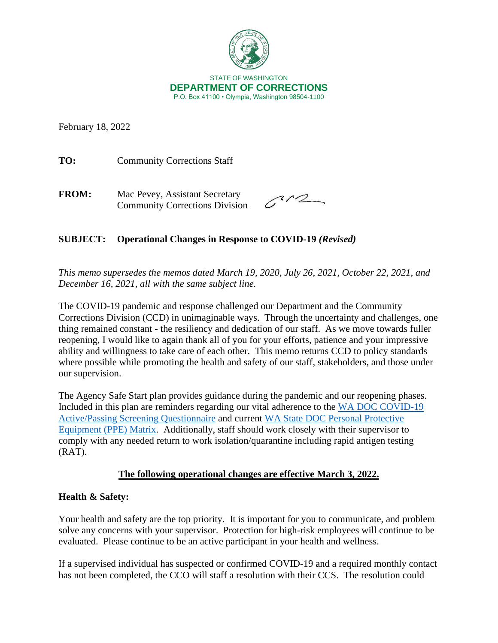

February 18, 2022

TO: Community Corrections Staff

**FROM:** Mac Pevey, Assistant Secretary Community Corrections Division

 $3/2$ 

# **SUBJECT: Operational Changes in Response to COVID-19** *(Revised)*

*This memo supersedes the memos dated March 19, 2020, July 26, 2021, October 22, 2021, and December 16, 2021, all with the same subject line.* 

The COVID-19 pandemic and response challenged our Department and the Community Corrections Division (CCD) in unimaginable ways. Through the uncertainty and challenges, one thing remained constant - the resiliency and dedication of our staff. As we move towards fuller reopening, I would like to again thank all of you for your efforts, patience and your impressive ability and willingness to take care of each other. This memo returns CCD to policy standards where possible while promoting the health and safety of our staff, stakeholders, and those under our supervision.

The Agency Safe Start plan provides guidance during the pandemic and our reopening phases. Included in this plan are reminders regarding our vital adherence to the [WA DOC COVID-19](http://internetdemo/corrections/covid-19/docs/active-screening-questionnaire.pdf)  [Active/Passing Screening Questionnaire](http://internetdemo/corrections/covid-19/docs/active-screening-questionnaire.pdf) and current [WA State DOC Personal Protective](https://doc.wa.gov/corrections/covid-19/docs/ppe-matrix.pdf)  [Equipment \(PPE\) Matrix.](https://doc.wa.gov/corrections/covid-19/docs/ppe-matrix.pdf) Additionally, staff should work closely with their supervisor to comply with any needed return to work isolation/quarantine including rapid antigen testing (RAT).

# **The following operational changes are effective March 3, 2022.**

# **Health & Safety:**

Your health and safety are the top priority. It is important for you to communicate, and problem solve any concerns with your supervisor. Protection for high-risk employees will continue to be evaluated. Please continue to be an active participant in your health and wellness.

If a supervised individual has suspected or confirmed COVID-19 and a required monthly contact has not been completed, the CCO will staff a resolution with their CCS. The resolution could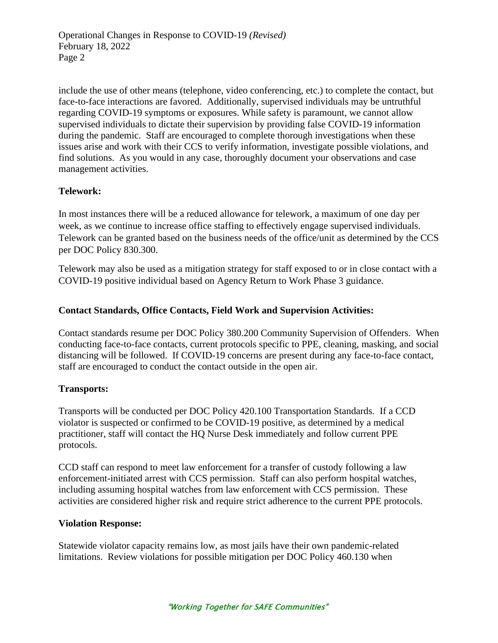Operational Changes in Response to COVID-19 *(Revised)*  February 18, 2022 Page 2

include the use of other means (telephone, video conferencing, etc.) to complete the contact, but face-to-face interactions are favored. Additionally, supervised individuals may be untruthful regarding COVID-19 symptoms or exposures. While safety is paramount, we cannot allow supervised individuals to dictate their supervision by providing false COVID-19 information during the pandemic. Staff are encouraged to complete thorough investigations when these issues arise and work with their CCS to verify information, investigate possible violations, and find solutions. As you would in any case, thoroughly document your observations and case management activities.

#### **Telework:**

In most instances there will be a reduced allowance for telework, a maximum of one day per week, as we continue to increase office staffing to effectively engage supervised individuals. Telework can be granted based on the business needs of the office/unit as determined by the CCS per DOC Policy 830.300.

Telework may also be used as a mitigation strategy for staff exposed to or in close contact with a COVID-19 positive individual based on Agency Return to Work Phase 3 guidance.

#### **Contact Standards, Office Contacts, Field Work and Supervision Activities:**

Contact standards resume per DOC Policy 380.200 Community Supervision of Offenders. When conducting face-to-face contacts, current protocols specific to PPE, cleaning, masking, and social distancing will be followed. If COVID-19 concerns are present during any face-to-face contact, staff are encouraged to conduct the contact outside in the open air.

#### **Transports:**

Transports will be conducted per DOC Policy 420.100 Transportation Standards. If a CCD violator is suspected or confirmed to be COVID-19 positive, as determined by a medical practitioner, staff will contact the HQ Nurse Desk immediately and follow current PPE protocols.

CCD staff can respond to meet law enforcement for a transfer of custody following a law enforcement-initiated arrest with CCS permission. Staff can also perform hospital watches, including assuming hospital watches from law enforcement with CCS permission. These activities are considered higher risk and require strict adherence to the current PPE protocols.

#### **Violation Response:**

Statewide violator capacity remains low, as most jails have their own pandemic-related limitations. Review violations for possible mitigation per DOC Policy 460.130 when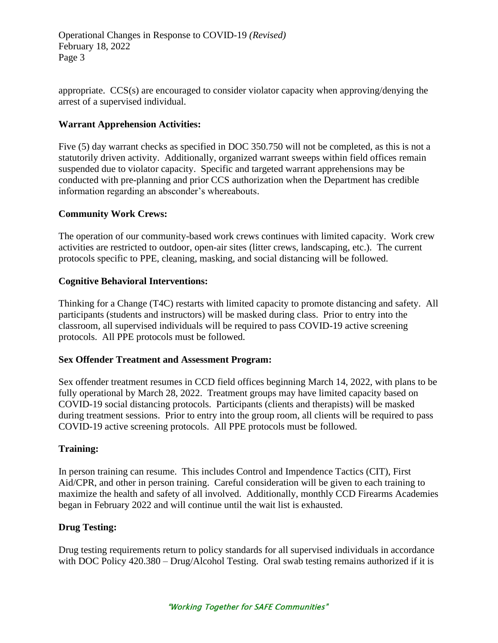Operational Changes in Response to COVID-19 *(Revised)*  February 18, 2022 Page 3

appropriate. CCS(s) are encouraged to consider violator capacity when approving/denying the arrest of a supervised individual.

# **Warrant Apprehension Activities:**

Five (5) day warrant checks as specified in DOC 350.750 will not be completed, as this is not a statutorily driven activity. Additionally, organized warrant sweeps within field offices remain suspended due to violator capacity. Specific and targeted warrant apprehensions may be conducted with pre-planning and prior CCS authorization when the Department has credible information regarding an absconder's whereabouts.

# **Community Work Crews:**

The operation of our community-based work crews continues with limited capacity. Work crew activities are restricted to outdoor, open-air sites (litter crews, landscaping, etc.). The current protocols specific to PPE, cleaning, masking, and social distancing will be followed.

# **Cognitive Behavioral Interventions:**

Thinking for a Change (T4C) restarts with limited capacity to promote distancing and safety. All participants (students and instructors) will be masked during class. Prior to entry into the classroom, all supervised individuals will be required to pass COVID-19 active screening protocols. All PPE protocols must be followed.

# **Sex Offender Treatment and Assessment Program:**

Sex offender treatment resumes in CCD field offices beginning March 14, 2022, with plans to be fully operational by March 28, 2022. Treatment groups may have limited capacity based on COVID-19 social distancing protocols. Participants (clients and therapists) will be masked during treatment sessions. Prior to entry into the group room, all clients will be required to pass COVID-19 active screening protocols. All PPE protocols must be followed.

# **Training:**

In person training can resume. This includes Control and Impendence Tactics (CIT), First Aid/CPR, and other in person training. Careful consideration will be given to each training to maximize the health and safety of all involved. Additionally, monthly CCD Firearms Academies began in February 2022 and will continue until the wait list is exhausted.

# **Drug Testing:**

Drug testing requirements return to policy standards for all supervised individuals in accordance with DOC Policy 420.380 – Drug/Alcohol Testing. Oral swab testing remains authorized if it is